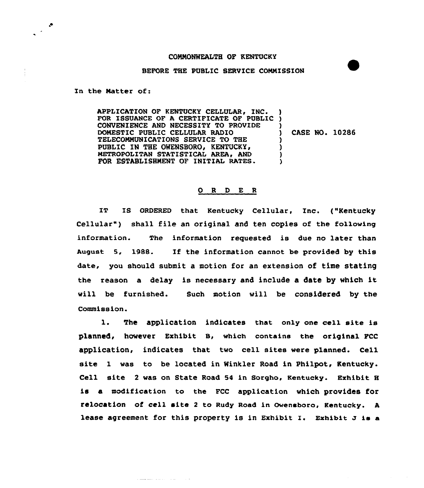## COMMONWEALTH OF KENTUCKY

## BEFORE THE PUBLIC SERVICE CONNISSION

In the Natter of:

 $\mathcal{L}^{(2)}$ 

APPLICATION OF KENTUCKY CELLULAR, INC. APPLICATION OF KENTUCKY CELLULAR, INC. )<br>FOR ISSUANCE OF A CERTIFICATE OF PUBLIC ) CONVENIENCE AND NECESSITY TO PROVIDE DOMESTIC PUBLIC CELLULAR RADIO TELECOMMUNICATIONS SERVICE TO THE PUBLIC IN THE OWENSBORO, KENTUCKY, METROPOLITAN STATISTICAL AREA. AND FOR ESTABLISHMENT OF INITIAL RATES. )  $\left\{ \right\}$ ) CASE NO. 10286 ? ) ) ?

## 0 <sup>R</sup> <sup>D</sup> E <sup>R</sup>

IT IS ORDERED that Kentucky Cellular, Inc. ("Kentucky Cellular") shall file an original and ten copies of the following information. The information requested is due no later than August 5, 198S. If the information cannot be provided by this date, you should submit a motion for an extension of time stating the reason <sup>a</sup> delay is necessary and include <sup>a</sup> date by which it will be furnished. Such motion vill be considered by the Commission.

l. The application indicates that only one ce11 site is planned, however Exhibit B, vhich contains the original PCC application, indicates that two cell sites vere planned. Cell site 1 was to be located in Winkler Road in Philpot, Kentucky. Cell site <sup>2</sup> was on State Road S4 in Soxgho, Kentucky. Exhibit <sup>H</sup> is a modification to the FCC application which provides for relocation of cell site <sup>2</sup> to Rudy Road in Ovensboro, Kentucky. <sup>A</sup> lease agreement for this property is in Exhibit I. Exhibit  $J$  is a

a <u>company</u> and a series of the